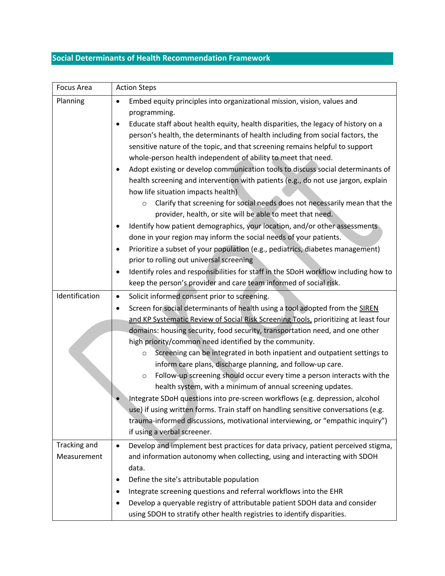# **Social Determinants of Health Recommendation Framework**

| Focus Area                         | <b>Action Steps</b>                                                                                                                                                                                                                                                                                                                                                                                                                                                                                                                                                                                                                                                                                                                                                                                                                                                                                                                                                                                                                                                                                                                                                                                                                                                     |
|------------------------------------|-------------------------------------------------------------------------------------------------------------------------------------------------------------------------------------------------------------------------------------------------------------------------------------------------------------------------------------------------------------------------------------------------------------------------------------------------------------------------------------------------------------------------------------------------------------------------------------------------------------------------------------------------------------------------------------------------------------------------------------------------------------------------------------------------------------------------------------------------------------------------------------------------------------------------------------------------------------------------------------------------------------------------------------------------------------------------------------------------------------------------------------------------------------------------------------------------------------------------------------------------------------------------|
| Planning                           | Embed equity principles into organizational mission, vision, values and<br>$\bullet$<br>programming.<br>Educate staff about health equity, health disparities, the legacy of history on a<br>$\bullet$<br>person's health, the determinants of health including from social factors, the<br>sensitive nature of the topic, and that screening remains helpful to support<br>whole-person health independent of ability to meet that need.<br>Adopt existing or develop communication tools to discuss social determinants of<br>health screening and intervention with patients (e.g., do not use jargon, explain<br>how life situation impacts health)<br>Clarify that screening for social needs does not necessarily mean that the<br>$\circ$<br>provider, health, or site will be able to meet that need.<br>Identify how patient demographics, your location, and/or other assessments<br>done in your region may inform the social needs of your patients.<br>Prioritize a subset of your population (e.g., pediatrics, diabetes management)<br>prior to rolling out universal screening<br>Identify roles and responsibilities for staff in the SDoH workflow including how to<br>$\bullet$<br>keep the person's provider and care team informed of social risk. |
| Identification                     | Solicit informed consent prior to screening.<br>$\bullet$<br>Screen for social determinants of health using a tool adopted from the SIREN<br>and KP Systematic Review of Social Risk Screening Tools, prioritizing at least four<br>domains: housing security, food security, transportation need, and one other<br>high priority/common need identified by the community.<br>Screening can be integrated in both inpatient and outpatient settings to<br>$\circ$<br>inform care plans, discharge planning, and follow-up care.<br>Follow-up screening should occur every time a person interacts with the<br>$\circ$<br>health system, with a minimum of annual screening updates.<br>Integrate SDoH questions into pre-screen workflows (e.g. depression, alcohol<br>use) if using written forms. Train staff on handling sensitive conversations (e.g.<br>trauma-informed discussions, motivational interviewing, or "empathic inquiry")<br>if using a verbal screener.                                                                                                                                                                                                                                                                                              |
| <b>Tracking and</b><br>Measurement | Develop and implement best practices for data privacy, patient perceived stigma,<br>$\bullet$<br>and information autonomy when collecting, using and interacting with SDOH<br>data.<br>Define the site's attributable population                                                                                                                                                                                                                                                                                                                                                                                                                                                                                                                                                                                                                                                                                                                                                                                                                                                                                                                                                                                                                                        |
|                                    | ٠<br>Integrate screening questions and referral workflows into the EHR<br>٠<br>Develop a queryable registry of attributable patient SDOH data and consider<br>using SDOH to stratify other health registries to identify disparities.                                                                                                                                                                                                                                                                                                                                                                                                                                                                                                                                                                                                                                                                                                                                                                                                                                                                                                                                                                                                                                   |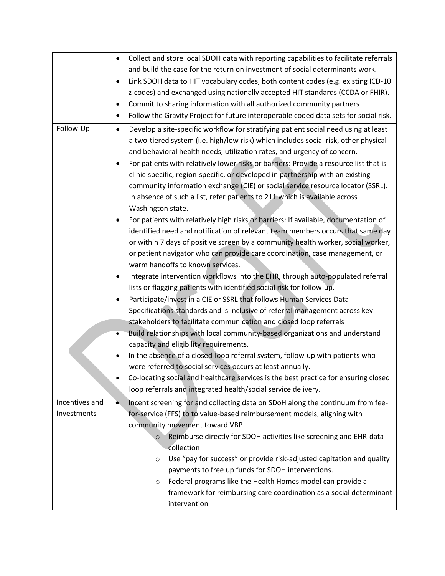|                | Collect and store local SDOH data with reporting capabilities to facilitate referrals<br>$\bullet$                                                             |
|----------------|----------------------------------------------------------------------------------------------------------------------------------------------------------------|
|                | and build the case for the return on investment of social determinants work.                                                                                   |
|                | Link SDOH data to HIT vocabulary codes, both content codes (e.g. existing ICD-10<br>$\bullet$                                                                  |
|                | z-codes) and exchanged using nationally accepted HIT standards (CCDA or FHIR).                                                                                 |
|                | Commit to sharing information with all authorized community partners<br>٠                                                                                      |
|                | Follow the Gravity Project for future interoperable coded data sets for social risk.<br>$\bullet$                                                              |
| Follow-Up      | Develop a site-specific workflow for stratifying patient social need using at least<br>$\bullet$                                                               |
|                | a two-tiered system (i.e. high/low risk) which includes social risk, other physical<br>and behavioral health needs, utilization rates, and urgency of concern. |
|                | For patients with relatively lower risks or barriers: Provide a resource list that is<br>$\bullet$                                                             |
|                | clinic-specific, region-specific, or developed in partnership with an existing                                                                                 |
|                | community information exchange (CIE) or social service resource locator (SSRL).                                                                                |
|                | In absence of such a list, refer patients to 211 which is available across                                                                                     |
|                | Washington state.                                                                                                                                              |
|                | For patients with relatively high risks or barriers: If available, documentation of                                                                            |
|                | identified need and notification of relevant team members occurs that same day                                                                                 |
|                | or within 7 days of positive screen by a community health worker, social worker,                                                                               |
|                | or patient navigator who can provide care coordination, case management, or                                                                                    |
|                | warm handoffs to known services.                                                                                                                               |
|                | Integrate intervention workflows into the EHR, through auto-populated referral<br>٠                                                                            |
|                | lists or flagging patients with identified social risk for follow-up.                                                                                          |
|                | Participate/invest in a CIE or SSRL that follows Human Services Data<br>٠                                                                                      |
|                | Specifications standards and is inclusive of referral management across key                                                                                    |
|                | stakeholders to facilitate communication and closed loop referrals                                                                                             |
|                | Build relationships with local community-based organizations and understand<br>٠                                                                               |
|                | capacity and eligibility requirements.                                                                                                                         |
|                | In the absence of a closed-loop referral system, follow-up with patients who<br>$\bullet$                                                                      |
|                | were referred to social services occurs at least annually.                                                                                                     |
|                | Co-locating social and healthcare services is the best practice for ensuring closed                                                                            |
|                | loop referrals and integrated health/social service delivery.                                                                                                  |
| Incentives and | Incent screening for and collecting data on SDoH along the continuum from fee-<br>$\bullet$                                                                    |
| Investments    | for-service (FFS) to to value-based reimbursement models, aligning with                                                                                        |
|                | community movement toward VBP                                                                                                                                  |
|                | Reimburse directly for SDOH activities like screening and EHR-data<br>$\circ$                                                                                  |
|                | collection                                                                                                                                                     |
|                | Use "pay for success" or provide risk-adjusted capitation and quality<br>$\circ$                                                                               |
|                | payments to free up funds for SDOH interventions.                                                                                                              |
|                | Federal programs like the Health Homes model can provide a<br>$\circ$                                                                                          |
|                | framework for reimbursing care coordination as a social determinant                                                                                            |
|                | intervention                                                                                                                                                   |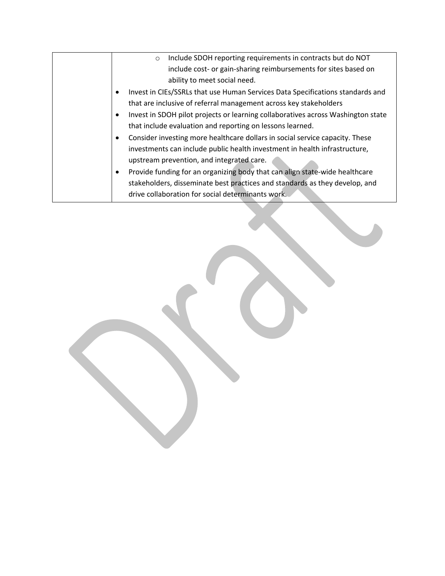| Include SDOH reporting requirements in contracts but do NOT<br>$\circ$           |
|----------------------------------------------------------------------------------|
| include cost- or gain-sharing reimbursements for sites based on                  |
| ability to meet social need.                                                     |
| Invest in CIEs/SSRLs that use Human Services Data Specifications standards and   |
| that are inclusive of referral management across key stakeholders                |
| Invest in SDOH pilot projects or learning collaboratives across Washington state |
| that include evaluation and reporting on lessons learned.                        |
| Consider investing more healthcare dollars in social service capacity. These     |
| investments can include public health investment in health infrastructure,       |
| upstream prevention, and integrated care.                                        |
| Provide funding for an organizing body that can align state-wide healthcare      |
| stakeholders, disseminate best practices and standards as they develop, and      |
| drive collaboration for social determinants work.                                |
|                                                                                  |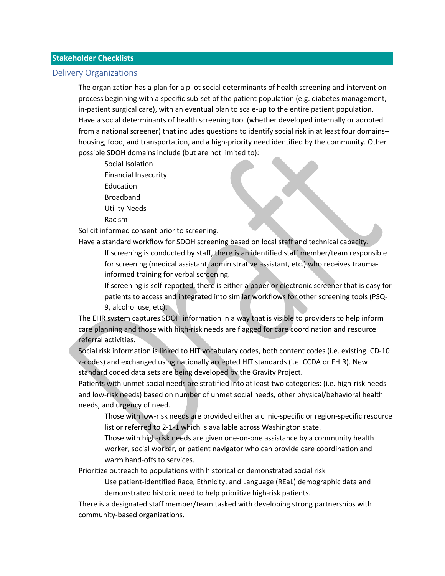#### **Stakeholder Checklists**

#### Delivery Organizations

 The organization has a plan for a pilot social determinants of health screening and intervention process beginning with a specific sub-set of the patient population (e.g. diabetes management, in-patient surgical care), with an eventual plan to scale-up to the entire patient population. Have a social determinants of health screening tool (whether developed internally or adopted from a national screener) that includes questions to identify social risk in at least four domains– housing, food, and transportation, and a high-priority need identified by the community. Other possible SDOH domains include (but are not limited to):

- Social Isolation Financial Insecurity Education Broadband Utility Needs
- Racism

Solicit informed consent prior to screening.

Have a standard workflow for SDOH screening based on local staff and technical capacity.

 If screening is conducted by staff, there is an identified staff member/team responsible for screening (medical assistant, administrative assistant, etc.) who receives traumainformed training for verbal screening.

 If screening is self-reported, there is either a paper or electronic screener that is easy for patients to access and integrated into similar workflows for other screening tools (PSQ-9, alcohol use, etc).

 The EHR system captures SDOH information in a way that is visible to providers to help inform care planning and those with high-risk needs are flagged for care coordination and resource referral activities.

 Social risk information is linked to HIT vocabulary codes, both content codes (i.e. existing ICD-10 z-codes) and exchanged using nationally accepted HIT standards (i.e. CCDA or FHIR). New standard coded data sets are being developed by the Gravity Project.

 Patients with unmet social needs are stratified into at least two categories: (i.e. high-risk needs and low-risk needs) based on number of unmet social needs, other physical/behavioral health needs, and urgency of need.

 Those with low-risk needs are provided either a clinic-specific or region-specific resource list or referred to 2-1-1 which is available across Washington state.

 Those with high-risk needs are given one-on-one assistance by a community health worker, social worker, or patient navigator who can provide care coordination and warm hand-offs to services.

Prioritize outreach to populations with historical or demonstrated social risk

 Use patient-identified Race, Ethnicity, and Language (REaL) demographic data and demonstrated historic need to help prioritize high-risk patients.

 There is a designated staff member/team tasked with developing strong partnerships with community-based organizations.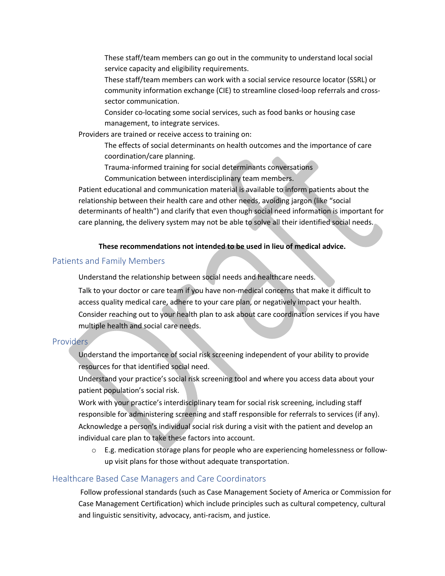These staff/team members can go out in the community to understand local social service capacity and eligibility requirements.

 These staff/team members can work with a social service resource locator (SSRL) or community information exchange (CIE) to streamline closed-loop referrals and crosssector communication.

 Consider co-locating some social services, such as food banks or housing case management, to integrate services.

Providers are trained or receive access to training on:

 The effects of social determinants on health outcomes and the importance of care coordination/care planning.

Trauma-informed training for social determinants conversations

Communication between interdisciplinary team members.

 Patient educational and communication material is available to inform patients about the relationship between their health care and other needs, avoiding jargon (like "social determinants of health") and clarify that even though social need information is important for care planning, the delivery system may not be able to solve all their identified social needs.

## **These recommendations not intended to be used in lieu of medical advice.**

## Patients and Family Members

Understand the relationship between social needs and healthcare needs.

 Talk to your doctor or care team if you have non-medical concerns that make it difficult to access quality medical care, adhere to your care plan, or negatively impact your health. Consider reaching out to your health plan to ask about care coordination services if you have multiple health and social care needs.

## Providers

 Understand the importance of social risk screening independent of your ability to provide resources for that identified social need.

 Understand your practice's social risk screening tool and where you access data about your patient population's social risk.

 Work with your practice's interdisciplinary team for social risk screening, including staff responsible for administering screening and staff responsible for referrals to services (if any). Acknowledge a person's individual social risk during a visit with the patient and develop an individual care plan to take these factors into account.

 $\circ$  E.g. medication storage plans for people who are experiencing homelessness or followup visit plans for those without adequate transportation.

## Healthcare Based Case Managers and Care Coordinators

 Follow professional standards (such as Case Management Society of America or Commission for Case Management Certification) which include principles such as cultural competency, cultural and linguistic sensitivity, advocacy, anti-racism, and justice.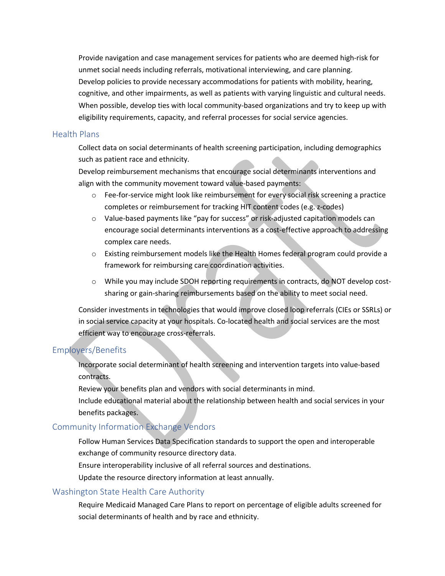Provide navigation and case management services for patients who are deemed high-risk for unmet social needs including referrals, motivational interviewing, and care planning. Develop policies to provide necessary accommodations for patients with mobility, hearing, cognitive, and other impairments, as well as patients with varying linguistic and cultural needs. When possible, develop ties with local community-based organizations and try to keep up with eligibility requirements, capacity, and referral processes for social service agencies.

#### Health Plans

 Collect data on social determinants of health screening participation, including demographics such as patient race and ethnicity.

 Develop reimbursement mechanisms that encourage social determinants interventions and align with the community movement toward value-based payments:

- o Fee-for-service might look like reimbursement for every social risk screening a practice completes or reimbursement for tracking HIT content codes (e.g. z-codes)
- o Value-based payments like "pay for success" or risk-adjusted capitation models can encourage social determinants interventions as a cost-effective approach to addressing complex care needs.
- o Existing reimbursement models like the Health Homes federal program could provide a framework for reimbursing care coordination activities.
- o While you may include SDOH reporting requirements in contracts, do NOT develop costsharing or gain-sharing reimbursements based on the ability to meet social need.

 Consider investments in technologies that would improve closed loop referrals (CIEs or SSRLs) or in social service capacity at your hospitals. Co-located health and social services are the most efficient way to encourage cross-referrals.

## Employers/Benefits

 Incorporate social determinant of health screening and intervention targets into value-based contracts.

Review your benefits plan and vendors with social determinants in mind.

 Include educational material about the relationship between health and social services in your benefits packages.

## Community Information Exchange Vendors

 Follow Human Services Data Specification standards to support the open and interoperable exchange of community resource directory data.

Ensure interoperability inclusive of all referral sources and destinations.

Update the resource directory information at least annually.

## Washington State Health Care Authority

 Require Medicaid Managed Care Plans to report on percentage of eligible adults screened for social determinants of health and by race and ethnicity.